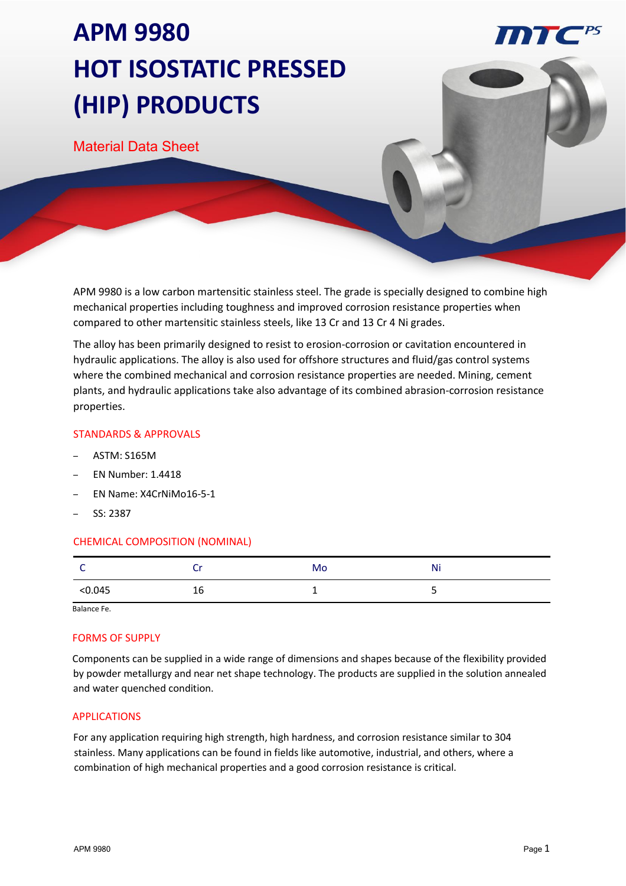# **APM 9980 HOT ISOSTATIC PRESSED (HIP) PRODUCTS**

Material Data Sheet

APM 9980 is a low carbon martensitic stainless steel. The grade is specially designed to combine high mechanical properties including toughness and improved corrosion resistance properties when compared to other martensitic stainless steels, like 13 Cr and 13 Cr 4 Ni grades.

The alloy has been primarily designed to resist to erosion-corrosion or cavitation encountered in hydraulic applications. The alloy is also used for offshore structures and fluid/gas control systems where the combined mechanical and corrosion resistance properties are needed. Mining, cement plants, and hydraulic applications take also advantage of its combined abrasion-corrosion resistance properties.

# STANDARDS & APPROVALS

- ASTM: S165M
- EN Number: 1.4418
- EN Name: X4CrNiMo16-5-1
- SS: 2387

# CHEMICAL COMPOSITION (NOMINAL)

|       |    | Mo | $\sim$ $\sim$<br>N |
|-------|----|----|--------------------|
| 0.045 | 10 | -  |                    |

Balance Fe.

#### FORMS OF SUPPLY

Components can be supplied in a wide range of dimensions and shapes because of the flexibility provided by powder metallurgy and near net shape technology. The products are supplied in the solution annealed and water quenched condition.

#### APPLICATIONS

For any application requiring high strength, high hardness, and corrosion resistance similar to 304 stainless. Many applications can be found in fields like automotive, industrial, and others, where a combination of high mechanical properties and a good corrosion resistance is critical.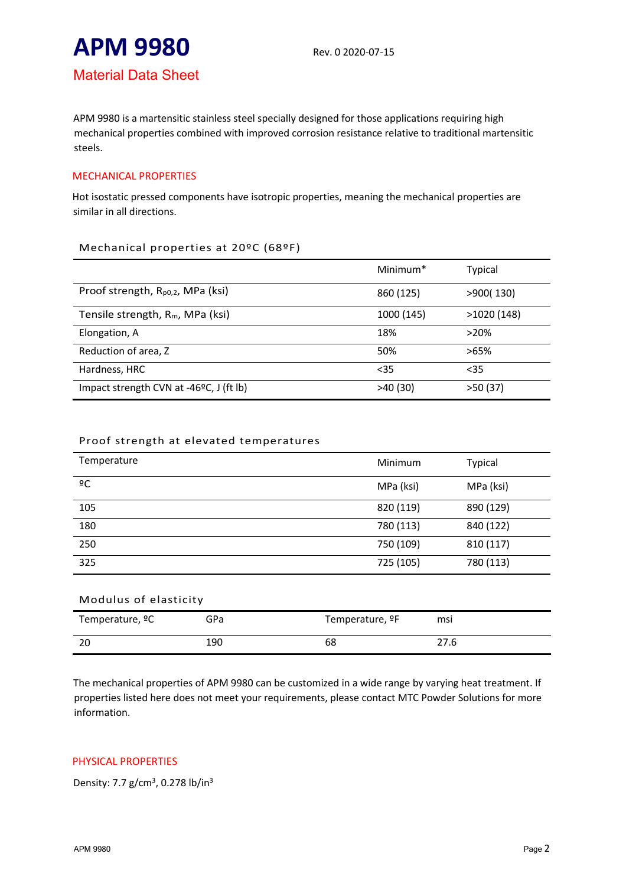# **APM 9980** Rev. 0 2020-07-15

# Material Data Sheet

APM 9980 is a martensitic stainless steel specially designed for those applications requiring high mechanical properties combined with improved corrosion resistance relative to traditional martensitic steels.

# MECHANICAL PROPERTIES

Hot isostatic pressed components have isotropic properties, meaning the mechanical properties are similar in all directions.

#### Mechanical properties at 20ºC (68ºF)

|                                               | Minimum <sup>*</sup> | Typical    |
|-----------------------------------------------|----------------------|------------|
| Proof strength, R <sub>p0,2</sub> , MPa (ksi) | 860 (125)            | >900(130)  |
| Tensile strength, R <sub>m</sub> , MPa (ksi)  | 1000 (145)           | >1020(148) |
| Elongation, A                                 | 18%                  | $>20\%$    |
| Reduction of area, Z                          | 50%                  | $>65\%$    |
| Hardness, HRC                                 | $35$                 | $35$       |
| Impact strength CVN at -46°C, J (ft lb)       | >40(30)              | >50(37)    |

# Proof strength at elevated temperatures

| Temperature | Minimum   | <b>Typical</b> |
|-------------|-----------|----------------|
| ōС          | MPa (ksi) | MPa (ksi)      |
| 105         | 820 (119) | 890 (129)      |
| 180         | 780 (113) | 840 (122)      |
| 250         | 750 (109) | 810 (117)      |
| 325         | 725 (105) | 780 (113)      |

| Modulus of elasticity       |     |                             |      |  |  |
|-----------------------------|-----|-----------------------------|------|--|--|
| Temperature, <sup>o</sup> C | GPa | Temperature, <sup>o</sup> F | msi  |  |  |
| 20                          | 190 | 68                          | 27.6 |  |  |

The mechanical properties of APM 9980 can be customized in a wide range by varying heat treatment. If properties listed here does not meet your requirements, please contact MTC Powder Solutions for more information.

# PHYSICAL PROPERTIES

Density: 7.7 g/cm<sup>3</sup>, 0.278 lb/in<sup>3</sup>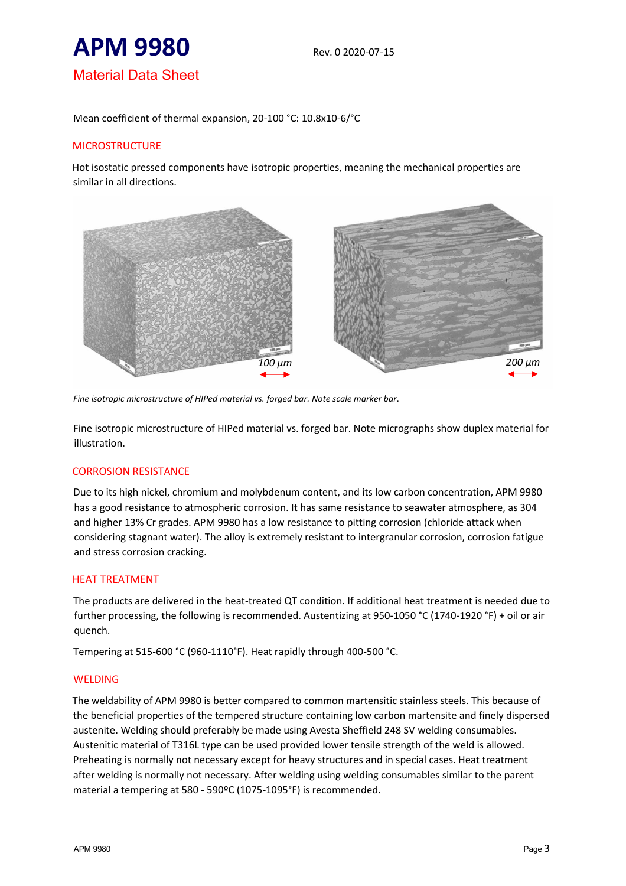

Mean coefficient of thermal expansion, 20-100 °C: 10.8x10-6/°C

# **MICROSTRUCTURE**

Hot isostatic pressed components have isotropic properties, meaning the mechanical properties are similar in all directions.



*Fine isotropic microstructure of HIPed material vs. forged bar. Note scale marker bar*.

Fine isotropic microstructure of HIPed material vs. forged bar. Note micrographs show duplex material for illustration.

#### CORROSION RESISTANCE

Due to its high nickel, chromium and molybdenum content, and its low carbon concentration, APM 9980 has a good resistance to atmospheric corrosion. It has same resistance to seawater atmosphere, as 304 and higher 13% Cr grades. APM 9980 has a low resistance to pitting corrosion (chloride attack when considering stagnant water). The alloy is extremely resistant to intergranular corrosion, corrosion fatigue and stress corrosion cracking.

#### HEAT TREATMENT

The products are delivered in the heat-treated QT condition. If additional heat treatment is needed due to further processing, the following is recommended. Austentizing at 950-1050 °C (1740-1920 °F) + oil or air quench.

Tempering at 515-600 °C (960-1110°F). Heat rapidly through 400-500 °C.

#### WELDING

The weldability of APM 9980 is better compared to common martensitic stainless steels. This because of the beneficial properties of the tempered structure containing low carbon martensite and finely dispersed austenite. Welding should preferably be made using Avesta Sheffield 248 SV welding consumables. Austenitic material of T316L type can be used provided lower tensile strength of the weld is allowed. Preheating is normally not necessary except for heavy structures and in special cases. Heat treatment after welding is normally not necessary. After welding using welding consumables similar to the parent material a tempering at 580 - 590ºC (1075-1095°F) is recommended.